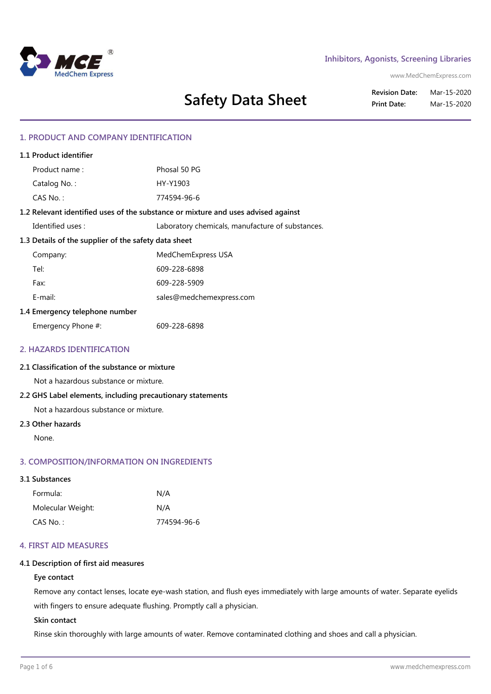

## **Inhibitors, Agonists, Screening Libraries**

www.MedChemExpress.com

**Safety Data Sheet**

**Revision Date:** Mar-15-2020 **Print Date:** Mar-15-2020

# **1. PRODUCT AND COMPANY IDENTIFICATION**

| 1.1 Product identifier                                                            |                                                  |  |
|-----------------------------------------------------------------------------------|--------------------------------------------------|--|
| Product name:                                                                     | Phosal 50 PG                                     |  |
| Catalog No.:                                                                      | HY-Y1903                                         |  |
| $CAS No.$ :                                                                       | 774594-96-6                                      |  |
| 1.2 Relevant identified uses of the substance or mixture and uses advised against |                                                  |  |
| Identified uses:                                                                  | Laboratory chemicals, manufacture of substances. |  |
| 1.3 Details of the supplier of the safety data sheet                              |                                                  |  |
| Company:                                                                          | MedChemExpress USA                               |  |
| Tel:                                                                              | 609-228-6898                                     |  |
| Fax:                                                                              | 609-228-5909                                     |  |
| E-mail:                                                                           | sales@medchemexpress.com                         |  |
| 1.4 Emergency telephone number                                                    |                                                  |  |
| Emergency Phone #:                                                                | 609-228-6898                                     |  |

## **2. HAZARDS IDENTIFICATION**

## **2.1 Classification of the substance or mixture**

Not a hazardous substance or mixture.

### **2.2 GHS Label elements, including precautionary statements**

Not a hazardous substance or mixture.

### **2.3 Other hazards**

None.

## **3. COMPOSITION/INFORMATION ON INGREDIENTS**

#### **3.1 Substances**

| Formula:          | N/A         |
|-------------------|-------------|
| Molecular Weight: | N/A         |
| CAS No. :         | 774594-96-6 |

### **4. FIRST AID MEASURES**

## **4.1 Description of first aid measures**

### **Eye contact**

Remove any contact lenses, locate eye-wash station, and flush eyes immediately with large amounts of water. Separate eyelids with fingers to ensure adequate flushing. Promptly call a physician.

#### **Skin contact**

Rinse skin thoroughly with large amounts of water. Remove contaminated clothing and shoes and call a physician.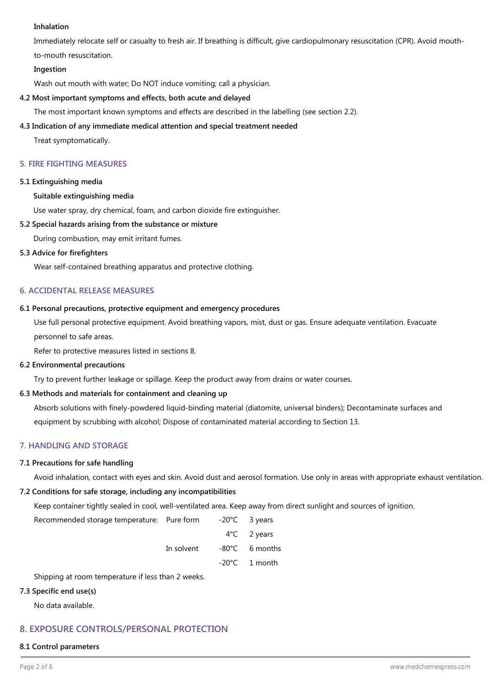## **Inhalation**

Immediately relocate self or casualty to fresh air. If breathing is difficult, give cardiopulmonary resuscitation (CPR). Avoid mouthto-mouth resuscitation.

### **Ingestion**

Wash out mouth with water; Do NOT induce vomiting; call a physician.

## **4.2 Most important symptoms and effects, both acute and delayed**

The most important known symptoms and effects are described in the labelling (see section 2.2).

## **4.3 Indication of any immediate medical attention and special treatment needed**

Treat symptomatically.

## **5. FIRE FIGHTING MEASURES**

### **5.1 Extinguishing media**

## **Suitable extinguishing media**

Use water spray, dry chemical, foam, and carbon dioxide fire extinguisher.

### **5.2 Special hazards arising from the substance or mixture**

During combustion, may emit irritant fumes.

## **5.3 Advice for firefighters**

Wear self-contained breathing apparatus and protective clothing.

## **6. ACCIDENTAL RELEASE MEASURES**

### **6.1 Personal precautions, protective equipment and emergency procedures**

Use full personal protective equipment. Avoid breathing vapors, mist, dust or gas. Ensure adequate ventilation. Evacuate personnel to safe areas.

Refer to protective measures listed in sections 8.

### **6.2 Environmental precautions**

Try to prevent further leakage or spillage. Keep the product away from drains or water courses.

### **6.3 Methods and materials for containment and cleaning up**

Absorb solutions with finely-powdered liquid-binding material (diatomite, universal binders); Decontaminate surfaces and equipment by scrubbing with alcohol; Dispose of contaminated material according to Section 13.

## **7. HANDLING AND STORAGE**

### **7.1 Precautions for safe handling**

Avoid inhalation, contact with eyes and skin. Avoid dust and aerosol formation. Use only in areas with appropriate exhaust ventilation.

### **7.2 Conditions for safe storage, including any incompatibilities**

Keep container tightly sealed in cool, well-ventilated area. Keep away from direct sunlight and sources of ignition.

Recommended storage temperature: Pure form -20°C 3 years

| 2 years |
|---------|
|         |

In solvent -80°C 6 months

-20°C 1 month

Shipping at room temperature if less than 2 weeks.

### **7.3 Specific end use(s)**

No data available.

# **8. EXPOSURE CONTROLS/PERSONAL PROTECTION**

**8.1 Control parameters**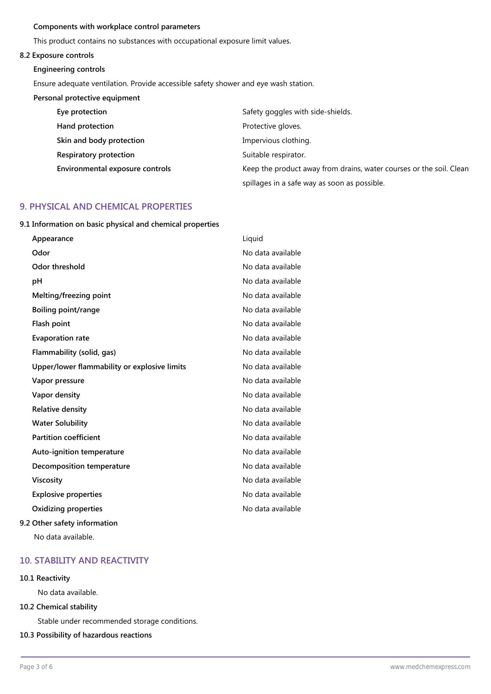### **Components with workplace control parameters**

This product contains no substances with occupational exposure limit values.

### **8.2 Exposure controls**

### **Engineering controls**

Ensure adequate ventilation. Provide accessible safety shower and eye wash station.

## **Personal protective equipment**

| Eye protection                  | Safety goggles with side-shields.                                   |
|---------------------------------|---------------------------------------------------------------------|
| Hand protection                 | Protective gloves.                                                  |
| Skin and body protection        | Impervious clothing.                                                |
| Respiratory protection          | Suitable respirator.                                                |
| Environmental exposure controls | Keep the product away from drains, water courses or the soil. Clean |
|                                 | spillages in a safe way as soon as possible.                        |

## **9. PHYSICAL AND CHEMICAL PROPERTIES**

**9.1 Information on basic physical and chemical properties**

| Appearance                                   | Liquid            |
|----------------------------------------------|-------------------|
| Odor                                         | No data available |
| Odor threshold                               | No data available |
| рH                                           | No data available |
| Melting/freezing point                       | No data available |
| Boiling point/range                          | No data available |
| Flash point                                  | No data available |
| <b>Evaporation rate</b>                      | No data available |
| Flammability (solid, gas)                    | No data available |
| Upper/lower flammability or explosive limits | No data available |
| Vapor pressure                               | No data available |
| Vapor density                                | No data available |
| <b>Relative density</b>                      | No data available |
| <b>Water Solubility</b>                      | No data available |
| <b>Partition coefficient</b>                 | No data available |
| Auto-ignition temperature                    | No data available |
| Decomposition temperature                    | No data available |
| Viscosity                                    | No data available |
| <b>Explosive properties</b>                  | No data available |
| Oxidizing properties                         | No data available |
| 9.2 Other safety information                 |                   |

No data available.

# **10. STABILITY AND REACTIVITY**

## **10.1 Reactivity**

No data available.

## **10.2 Chemical stability**

Stable under recommended storage conditions.

## **10.3 Possibility of hazardous reactions**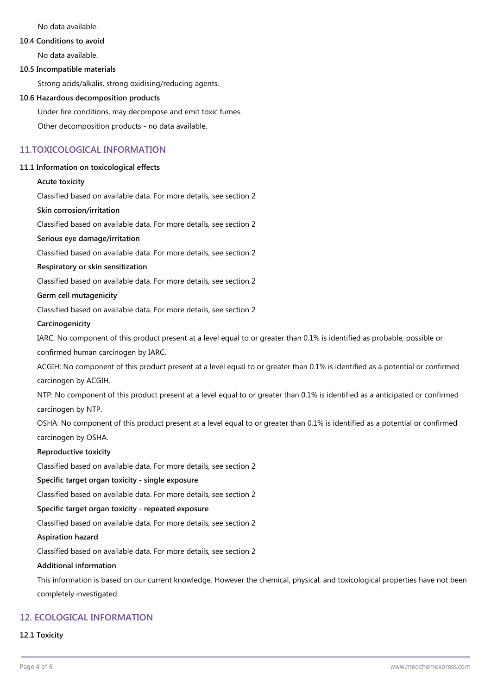No data available.

### **10.4 Conditions to avoid**

No data available.

### **10.5 Incompatible materials**

Strong acids/alkalis, strong oxidising/reducing agents.

### **10.6 Hazardous decomposition products**

Under fire conditions, may decompose and emit toxic fumes.

Other decomposition products - no data available.

## **11.TOXICOLOGICAL INFORMATION**

### **11.1 Information on toxicological effects**

#### **Acute toxicity**

Classified based on available data. For more details, see section 2

### **Skin corrosion/irritation**

Classified based on available data. For more details, see section 2

## **Serious eye damage/irritation**

Classified based on available data. For more details, see section 2

### **Respiratory or skin sensitization**

Classified based on available data. For more details, see section 2

### **Germ cell mutagenicity**

Classified based on available data. For more details, see section 2

#### **Carcinogenicity**

IARC: No component of this product present at a level equal to or greater than 0.1% is identified as probable, possible or confirmed human carcinogen by IARC.

ACGIH: No component of this product present at a level equal to or greater than 0.1% is identified as a potential or confirmed carcinogen by ACGIH.

NTP: No component of this product present at a level equal to or greater than 0.1% is identified as a anticipated or confirmed carcinogen by NTP.

OSHA: No component of this product present at a level equal to or greater than 0.1% is identified as a potential or confirmed carcinogen by OSHA.

### **Reproductive toxicity**

Classified based on available data. For more details, see section 2

#### **Specific target organ toxicity - single exposure**

Classified based on available data. For more details, see section 2

## **Specific target organ toxicity - repeated exposure**

Classified based on available data. For more details, see section 2

## **Aspiration hazard**

Classified based on available data. For more details, see section 2

#### **Additional information**

This information is based on our current knowledge. However the chemical, physical, and toxicological properties have not been completely investigated.

## **12. ECOLOGICAL INFORMATION**

#### **12.1 Toxicity**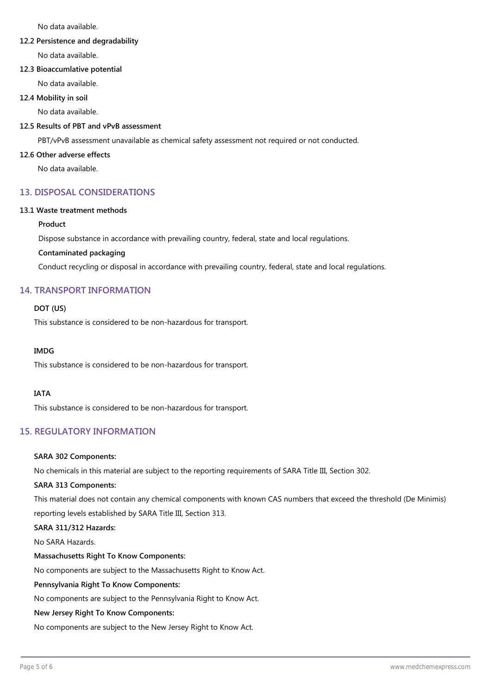No data available.

### **12.2 Persistence and degradability**

No data available.

## **12.3 Bioaccumlative potential**

No data available.

**12.4 Mobility in soil**

No data available.

## **12.5 Results of PBT and vPvB assessment**

PBT/vPvB assessment unavailable as chemical safety assessment not required or not conducted.

### **12.6 Other adverse effects**

No data available.

# **13. DISPOSAL CONSIDERATIONS**

### **13.1 Waste treatment methods**

## **Product**

Dispose substance in accordance with prevailing country, federal, state and local regulations.

## **Contaminated packaging**

Conduct recycling or disposal in accordance with prevailing country, federal, state and local regulations.

## **14. TRANSPORT INFORMATION**

## **DOT (US)**

This substance is considered to be non-hazardous for transport.

### **IMDG**

This substance is considered to be non-hazardous for transport.

## **IATA**

This substance is considered to be non-hazardous for transport.

# **15. REGULATORY INFORMATION**

### **SARA 302 Components:**

No chemicals in this material are subject to the reporting requirements of SARA Title III, Section 302.

## **SARA 313 Components:**

This material does not contain any chemical components with known CAS numbers that exceed the threshold (De Minimis) reporting levels established by SARA Title III, Section 313.

## **SARA 311/312 Hazards:**

No SARA Hazards.

### **Massachusetts Right To Know Components:**

No components are subject to the Massachusetts Right to Know Act.

### **Pennsylvania Right To Know Components:**

No components are subject to the Pennsylvania Right to Know Act.

### **New Jersey Right To Know Components:**

No components are subject to the New Jersey Right to Know Act.